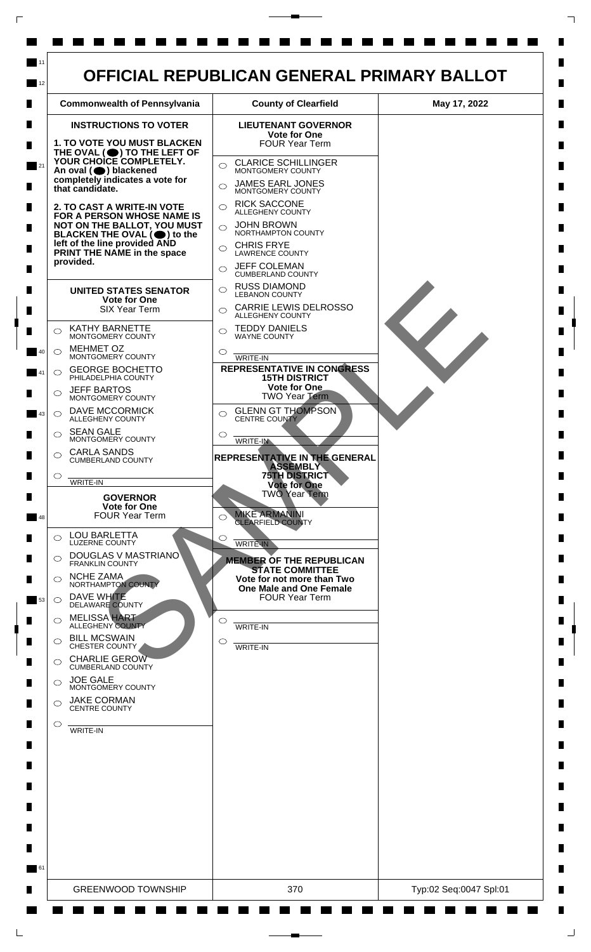

 $\mathsf{L}$